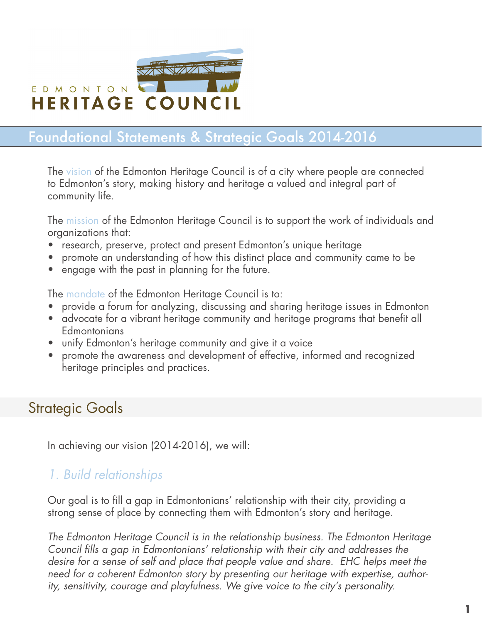

# Foundational Statements & Strategic Goals 2014-2016

The vision of the Edmonton Heritage Council is of a city where people are connected to Edmonton's story, making history and heritage a valued and integral part of community life.

The mission of the Edmonton Heritage Council is to support the work of individuals and organizations that:

- research, preserve, protect and present Edmonton's unique heritage
- eromote an understanding of how this distinct place and community came to be
- engage with the past in planning for the future.

The mandate of the Edmonton Heritage Council is to:

- provide a forum for analyzing, discussing and sharing heritage issues in Edmonton
- advocate for a vibrant heritage community and heritage programs that benefit all **Edmontonians**
- unify Edmonton's heritage community and give it a voice
- promote the awareness and development of effective, informed and recognized heritage principles and practices.

### Strategic Goals

In achieving our vision (2014-2016), we will:

#### *1. Build relationships*

Our goal is to fill a gap in Edmontonians' relationship with their city, providing a strong sense of place by connecting them with Edmonton's story and heritage.

*The Edmonton Heritage Council is in the relationship business. The Edmonton Heritage Council fills a gap in Edmontonians' relationship with their city and addresses the desire for a sense of self and place that people value and share. EHC helps meet the need for a coherent Edmonton story by presenting our heritage with expertise, authority, sensitivity, courage and playfulness. We give voice to the city's personality.*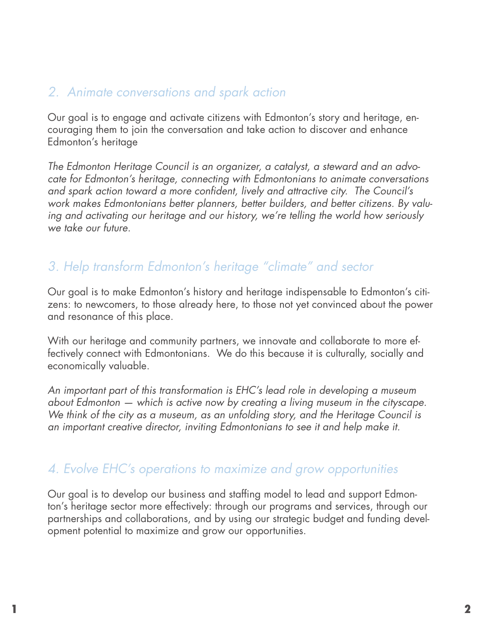#### *2. Animate conversations and spark action*

Our goal is to engage and activate citizens with Edmonton's story and heritage, encouraging them to join the conversation and take action to discover and enhance Edmonton's heritage

*The Edmonton Heritage Council is an organizer, a catalyst, a steward and an advocate for Edmonton's heritage, connecting with Edmontonians to animate conversations and spark action toward a more confident, lively and attractive city. The Council's work makes Edmontonians better planners, better builders, and better citizens. By valuing and activating our heritage and our history, we're telling the world how seriously we take our future.*

### *3. Help transform Edmonton's heritage "climate" and sector*

Our goal is to make Edmonton's history and heritage indispensable to Edmonton's citizens: to newcomers, to those already here, to those not yet convinced about the power and resonance of this place.

With our heritage and community partners, we innovate and collaborate to more effectively connect with Edmontonians. We do this because it is culturally, socially and economically valuable.

*An important part of this transformation is EHC's lead role in developing a museum about Edmonton — which is active now by creating a living museum in the cityscape. We think of the city as a museum, as an unfolding story, and the Heritage Council is an important creative director, inviting Edmontonians to see it and help make it.*

#### *4. Evolve EHC's operations to maximize and grow opportunities*

Our goal is to develop our business and staffing model to lead and support Edmonton's heritage sector more effectively: through our programs and services, through our partnerships and collaborations, and by using our strategic budget and funding development potential to maximize and grow our opportunities.